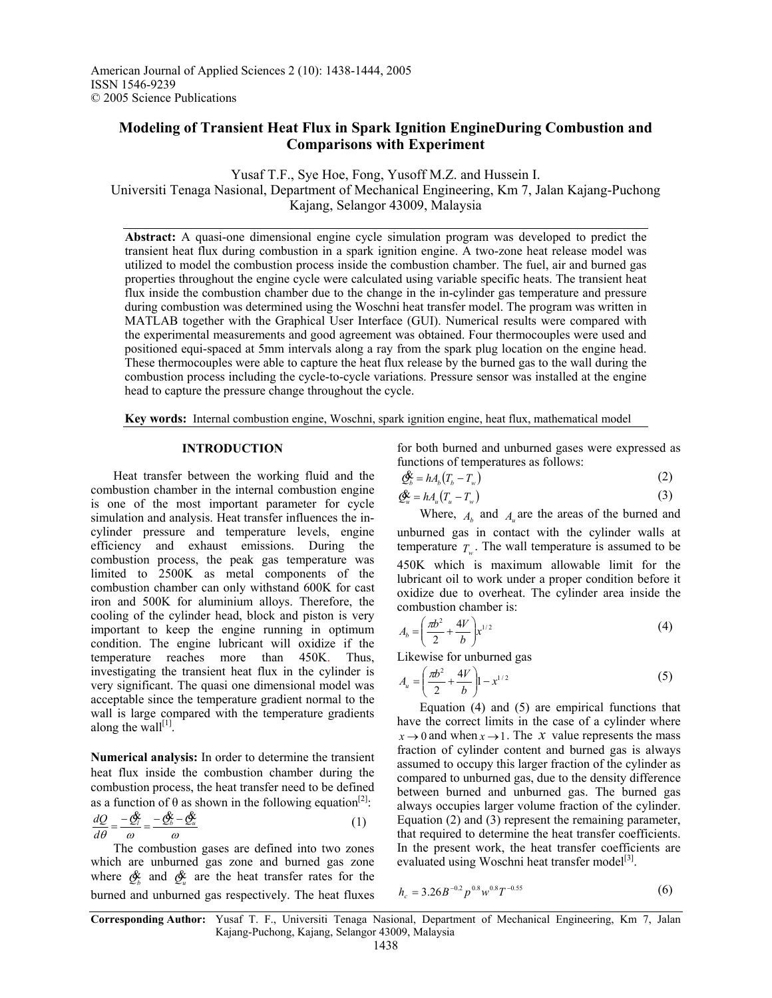# **Modeling of Transient Heat Flux in Spark Ignition EngineDuring Combustion and Comparisons with Experiment**

Yusaf T.F., Sye Hoe, Fong, Yusoff M.Z. and Hussein I. Universiti Tenaga Nasional, Department of Mechanical Engineering, Km 7, Jalan Kajang-Puchong Kajang, Selangor 43009, Malaysia

**Abstract:** A quasi-one dimensional engine cycle simulation program was developed to predict the transient heat flux during combustion in a spark ignition engine. A two-zone heat release model was utilized to model the combustion process inside the combustion chamber. The fuel, air and burned gas properties throughout the engine cycle were calculated using variable specific heats. The transient heat flux inside the combustion chamber due to the change in the in-cylinder gas temperature and pressure during combustion was determined using the Woschni heat transfer model. The program was written in MATLAB together with the Graphical User Interface (GUI). Numerical results were compared with the experimental measurements and good agreement was obtained. Four thermocouples were used and positioned equi-spaced at 5mm intervals along a ray from the spark plug location on the engine head. These thermocouples were able to capture the heat flux release by the burned gas to the wall during the combustion process including the cycle-to-cycle variations. Pressure sensor was installed at the engine head to capture the pressure change throughout the cycle.

**Key words:** Internal combustion engine, Woschni, spark ignition engine, heat flux, mathematical model

### **INTRODUCTION**

 Heat transfer between the working fluid and the combustion chamber in the internal combustion engine is one of the most important parameter for cycle simulation and analysis. Heat transfer influences the incylinder pressure and temperature levels, engine efficiency and exhaust emissions. During the combustion process, the peak gas temperature was limited to 2500K as metal components of the combustion chamber can only withstand 600K for cast iron and 500K for aluminium alloys. Therefore, the cooling of the cylinder head, block and piston is very important to keep the engine running in optimum condition. The engine lubricant will oxidize if the temperature reaches more than 450K. Thus, investigating the transient heat flux in the cylinder is very significant. The quasi one dimensional model was acceptable since the temperature gradient normal to the wall is large compared with the temperature gradients along the wall $[1]$ .

**Numerical analysis:** In order to determine the transient heat flux inside the combustion chamber during the combustion process, the heat transfer need to be defined as a function of  $\theta$  as shown in the following equation<sup>[2]</sup>:

$$
\frac{dQ}{d\theta} = \frac{-\mathcal{Q}_i}{\omega} = \frac{-\mathcal{Q}_b - \mathcal{Q}_u}{\omega} \tag{1}
$$

 The combustion gases are defined into two zones which are unburned gas zone and burned gas zone where  $\oint_{b}$  and  $\oint_{u}$  are the heat transfer rates for the burned and unburned gas respectively. The heat fluxes

for both burned and unburned gases were expressed as functions of temperatures as follows:

$$
\mathcal{Q}_b^{\mathcal{K}} = hA_b(T_b - T_w) \tag{2}
$$

$$
\mathcal{Q}_u^{\mathbf{k}} = h A_u (T_u - T_w) \tag{3}
$$

Where,  $A_b$  and  $A_a$  are the areas of the burned and unburned gas in contact with the cylinder walls at temperature  $T_{w}$ . The wall temperature is assumed to be 450K which is maximum allowable limit for the lubricant oil to work under a proper condition before it oxidize due to overheat. The cylinder area inside the combustion chamber is:

$$
A_b = \left(\frac{\pi b^2}{2} + \frac{4V}{b}\right) x^{1/2} \tag{4}
$$

Likewise for unburned gas

$$
A_u = \left(\frac{\pi b^2}{2} + \frac{4V}{b}\right)1 - x^{1/2} \tag{5}
$$

 Equation (4) and (5) are empirical functions that have the correct limits in the case of a cylinder where  $x \rightarrow 0$  and when  $x \rightarrow 1$ . The *x* value represents the mass fraction of cylinder content and burned gas is always assumed to occupy this larger fraction of the cylinder as compared to unburned gas, due to the density difference between burned and unburned gas. The burned gas always occupies larger volume fraction of the cylinder. Equation (2) and (3) represent the remaining parameter, that required to determine the heat transfer coefficients. In the present work, the heat transfer coefficients are evaluated using Woschni heat transfer model $^{[3]}$ .

$$
h_c = 3.26B^{-0.2}p^{0.8}w^{0.8}T^{-0.55}
$$
 (6)

**Corresponding Author:** Yusaf T. F., Universiti Tenaga Nasional, Department of Mechanical Engineering, Km 7, Jalan Kajang-Puchong, Kajang, Selangor 43009, Malaysia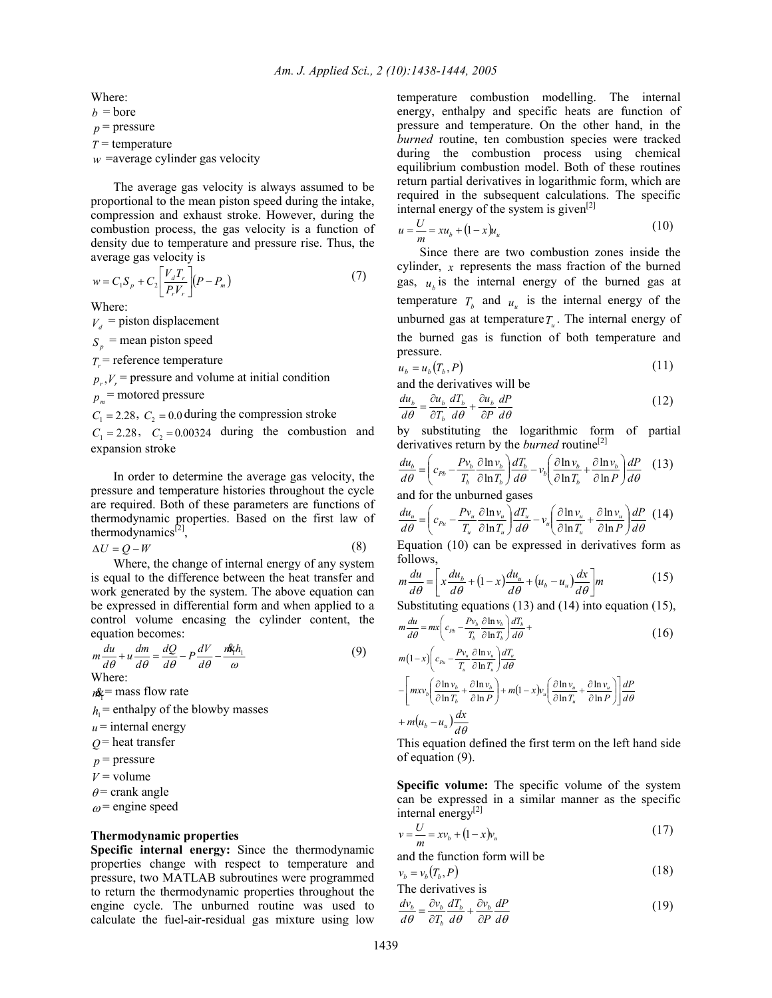Where:

 $b =$ bore

 $p$  = pressure

*T* = temperature

 $w$  =average cylinder gas velocity

 The average gas velocity is always assumed to be proportional to the mean piston speed during the intake, compression and exhaust stroke. However, during the combustion process, the gas velocity is a function of density due to temperature and pressure rise. Thus, the average gas velocity is

$$
w = C_1 S_p + C_2 \left[ \frac{V_d T_r}{P_r V_r} \right] (P - P_m)
$$
 (7)

Where:

 $V_d$  = piston displacement

 $S_n$  = mean piston speed

 $T<sub>r</sub>$  = reference temperature

 $p_r$ ,  $V_r$  = pressure and volume at initial condition

 $p_{n}$  = motored pressure

 $C_1 = 2.28$ ,  $C_2 = 0.0$  *during the compression stroke* 

 $C_1 = 2.28$ ,  $C_2 = 0.00324$  during the combustion and expansion stroke

 In order to determine the average gas velocity, the pressure and temperature histories throughout the cycle are required. Both of these parameters are functions of thermodynamic properties. Based on the first law of thermodynamics $^{[2]}$ ,

$$
\Delta U = Q - W \tag{8}
$$

 Where, the change of internal energy of any system is equal to the difference between the heat transfer and work generated by the system. The above equation can be expressed in differential form and when applied to a control volume encasing the cylinder content, the equation becomes:

$$
m\frac{du}{d\theta} + u\frac{dm}{d\theta} = \frac{dQ}{d\theta} - P\frac{dV}{d\theta} - \frac{nR_1h_1}{\omega}
$$
(9)

 $m\mathbf{k}$  = mass flow rate

 $h_1$  = enthalpy of the blowby masses

 $u$  = internal energy

 $Q$  = heat transfer

 $p$  = pressure

 $V =$ volume

 $\theta$  = crank angle

 $\omega$  = engine speed

#### **Thermodynamic properties**

**Specific internal energy:** Since the thermodynamic properties change with respect to temperature and pressure, two MATLAB subroutines were programmed to return the thermodynamic properties throughout the engine cycle. The unburned routine was used to calculate the fuel-air-residual gas mixture using low temperature combustion modelling. The internal energy, enthalpy and specific heats are function of pressure and temperature. On the other hand, in the *burned* routine, ten combustion species were tracked during the combustion process using chemical equilibrium combustion model. Both of these routines return partial derivatives in logarithmic form, which are required in the subsequent calculations. The specific internal energy of the system is given $[2]$ 

$$
u = \frac{U}{m} = xu_b + (1 - x)u_u
$$
 (10)

 Since there are two combustion zones inside the cylinder, *x* represents the mass fraction of the burned gas,  $u_k$  is the internal energy of the burned gas at temperature  $T_b$  and  $u_u$  is the internal energy of the unburned gas at temperature  $T_{\mu}$ . The internal energy of the burned gas is function of both temperature and pressure.

$$
u_b = u_b(T_b, P) \tag{11}
$$

and the derivatives will be

$$
\frac{du_b}{d\theta} = \frac{\partial u_b}{\partial T_b} \frac{dT_b}{d\theta} + \frac{\partial u_b}{\partial P} \frac{dP}{d\theta}
$$
(12)

by substituting the logarithmic form of partial derivatives return by the *burned* routine<sup>[2]</sup>

$$
\frac{du_b}{d\theta} = \left(c_{p_b} - \frac{Pv_b}{T_b} \frac{\partial \ln v_b}{\partial \ln T_b}\right) \frac{dT_b}{d\theta} - v_b \left(\frac{\partial \ln v_b}{\partial \ln T_b} + \frac{\partial \ln v_b}{\partial \ln P}\right) \frac{dP}{d\theta} \tag{13}
$$

and for the unburned gases

$$
\frac{du_u}{d\theta} = \left(c_{p_u} - \frac{Pv_u}{T_u} \frac{\partial \ln v_u}{\partial \ln T_u}\right) \frac{dT_u}{d\theta} - v_u \left(\frac{\partial \ln v_u}{\partial \ln T_u} + \frac{\partial \ln v_u}{\partial \ln P}\right) \frac{dP}{d\theta} \tag{14}
$$

Equation (10) can be expressed in derivatives form as follows,

$$
m\frac{du}{d\theta} = \left[x\frac{du_b}{d\theta} + (1-x)\frac{du_u}{d\theta} + (u_b - u_u)\frac{dx}{d\theta}\right]m
$$
 (15)

Substituting equations (13) and (14) into equation (15),

$$
m\frac{du}{d\theta} = mx \left( c_{p_b} - \frac{Pv_b}{T_b} \frac{\partial \ln v_b}{\partial \ln T_b} \right) \frac{dT_b}{d\theta} +
$$
  

$$
m(1-x) \left( c_{p_b} - \frac{Pv_u}{T_b} \frac{\partial \ln v_u}{\partial \ln T_u} \right) \frac{dT_u}{dT_u}
$$
 (16)

$$
m(1-x)\left(c_{\nu_u} - \frac{Pv_u}{T_u} \frac{\partial \ln v_u}{\partial \ln T_u}\right) \frac{dT_u}{d\theta}
$$
  

$$
-\left[mxv_b\left(\frac{\partial \ln v_b}{\partial \ln T_b} + \frac{\partial \ln v_b}{\partial \ln P}\right) + m(1-x)v_u\left(\frac{\partial \ln v_u}{\partial \ln T_u} + \frac{\partial \ln v_u}{\partial \ln P}\right)\right] \frac{dP}{d\theta}
$$
  

$$
+ m(u_b - u_u) \frac{dx}{d\theta}
$$

This equation defined the first term on the left hand side of equation (9).

**Specific volume:** The specific volume of the system can be expressed in a similar manner as the specific internal energy<sup>[2]</sup>

$$
v = \frac{U}{m} = xv_b + (1 - x)v_u
$$
 (17)

and the function form will be

$$
v_b = v_b(T_b, P)
$$
\nThe derivatives is

\n
$$
v_b = v_b(T_b, P) \tag{18}
$$

$$
\frac{dv_b}{d\theta} = \frac{\partial v_b}{\partial T_b} \frac{dT_b}{d\theta} + \frac{\partial v_b}{\partial P} \frac{dP}{d\theta}
$$
(19)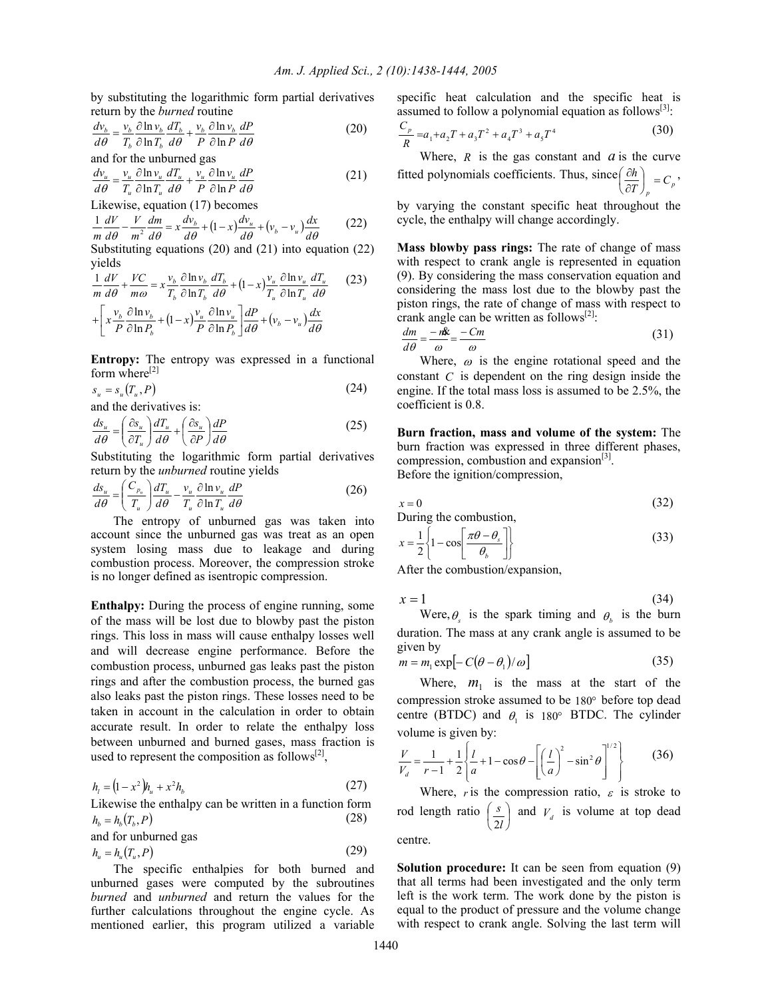by substituting the logarithmic form partial derivatives return by the *burned* routine

$$
\frac{dv_b}{d\theta} = \frac{v_b}{T_b} \frac{\partial \ln v_b}{\partial \ln T_b} \frac{dT_b}{d\theta} + \frac{v_b}{P} \frac{\partial \ln v_b}{\partial \ln P} \frac{dP}{d\theta}
$$
(20)

and for the unburned gas

$$
\frac{dv_u}{d\theta} = \frac{v_u}{T_u} \frac{\partial \ln v_u}{\partial \ln T_u} \frac{dT_u}{d\theta} + \frac{v_u}{P} \frac{\partial \ln v_u}{\partial \ln P} \frac{dP}{d\theta}
$$
(21)

Likewise, equation (17) becomes 
$$
1 \frac{W}{V} = \frac{1}{2} I
$$

$$
\frac{1}{m}\frac{dV}{d\theta} - \frac{V}{m^2}\frac{dm}{d\theta} = x\frac{dv_b}{d\theta} + (1-x)\frac{dv_u}{d\theta} + (v_b - v_u)\frac{dx}{d\theta}
$$
(22)

Substituting equations (20) and (21) into equation (22) yields

$$
\frac{1}{m}\frac{dV}{d\theta} + \frac{VC}{m\omega} = x\frac{v_b}{T_b}\frac{\partial \ln v_b}{\partial \ln T_b}\frac{dT_b}{d\theta} + (1-x)\frac{v_u}{T_u}\frac{\partial \ln v_u}{\partial \ln T_u}\frac{dT_u}{d\theta} \qquad (23)
$$

$$
+ \left[x\frac{v_b}{P}\frac{\partial \ln v_b}{\partial \ln P_b} + (1-x)\frac{v_u}{P}\frac{\partial \ln v_u}{\partial \ln P_b}\right]\frac{dP}{d\theta} + (v_b - v_u)\frac{dx}{d\theta}
$$

**Entropy:** The entropy was expressed in a functional form where<sup>[2]</sup>

$$
s_u = s_u(T_u, P) \tag{24}
$$

and the derivatives is:

$$
\frac{ds_u}{d\theta} = \left(\frac{\partial s_u}{\partial T_u}\right) \frac{dT_u}{d\theta} + \left(\frac{\partial s_u}{\partial P}\right) \frac{dP}{d\theta}
$$
\n(25)

Substituting the logarithmic form partial derivatives return by the *unburned* routine yields

$$
\frac{ds_u}{d\theta} = \left(\frac{C_{p_u}}{T_u}\right) \frac{dT_u}{d\theta} - \frac{v_u}{T_u} \frac{\partial \ln v_u}{\partial \ln T_u} \frac{dP}{d\theta} \tag{26}
$$

 The entropy of unburned gas was taken into account since the unburned gas was treat as an open system losing mass due to leakage and during combustion process. Moreover, the compression stroke is no longer defined as isentropic compression.

**Enthalpy:** During the process of engine running, some of the mass will be lost due to blowby past the piston rings. This loss in mass will cause enthalpy losses well and will decrease engine performance. Before the combustion process, unburned gas leaks past the piston rings and after the combustion process, the burned gas also leaks past the piston rings. These losses need to be taken in account in the calculation in order to obtain accurate result. In order to relate the enthalpy loss between unburned and burned gases, mass fraction is used to represent the composition as follows $[2]$ ,

$$
h_{l} = (1 - x^{2})h_{u} + x^{2}h_{b}
$$
 (27)

Likewise the enthalpy can be written in a function form  $h_b = h_b(T_b, P)$  (28)

and for unburned gas

$$
h_u = h_u(T_u, P) \tag{29}
$$

 The specific enthalpies for both burned and unburned gases were computed by the subroutines *burned* and *unburned* and return the values for the further calculations throughout the engine cycle. As mentioned earlier, this program utilized a variable specific heat calculation and the specific heat is assumed to follow a polynomial equation as follows<sup>[3]</sup>:

$$
\frac{C_p}{R} = a_1 + a_2 T + a_3 T^2 + a_4 T^3 + a_5 T^4
$$
\n(30)

Where,  $R$  is the gas constant and  $a$  is the curve fitted polynomials coefficients. Thus, since  $\left(\frac{\partial h}{\partial T}\right)_p = C_p$  $\left(\frac{\partial h}{\partial T}\right)_p = C$ ſ ∂  $\left(\frac{\partial h}{\partial r}\right)$  –  $\left(\frac{\partial h}{\partial r}\right)$ 

by varying the constant specific heat throughout the cycle, the enthalpy will change accordingly.

**Mass blowby pass rings:** The rate of change of mass with respect to crank angle is represented in equation (9). By considering the mass conservation equation and considering the mass lost due to the blowby past the piston rings, the rate of change of mass with respect to crank angle can be written as follows<sup>[2]</sup>:

$$
\frac{dm}{d\theta} = \frac{-n\mathbf{k}}{\omega} = \frac{-Cm}{\omega} \tag{31}
$$

Where,  $\omega$  is the engine rotational speed and the constant *C* is dependent on the ring design inside the engine. If the total mass loss is assumed to be 2.5%, the coefficient is 0.8.

**Burn fraction, mass and volume of the system:** The burn fraction was expressed in three different phases, compression, combustion and expansion $^{[3]}$ . Before the ignition/compression,

$$
x = 0 \tag{32}
$$

$$
x = \frac{1}{2} \left\{ 1 - \cos \left[ \frac{\pi \theta - \theta_s}{\theta_b} \right] \right\}
$$
 (33)

After the combustion/expansion,

During the combustion,

$$
x = 1 \tag{34}
$$

Were,  $\theta_{s}$  is the spark timing and  $\theta_{h}$  is the burn duration. The mass at any crank angle is assumed to be given by

$$
m = m_1 \exp[-C(\theta - \theta_1)/\omega]
$$
 (35)

Where,  $m_1$  is the mass at the start of the compression stroke assumed to be 180° before top dead centre (BTDC) and  $\theta_1$  is 180° BTDC. The cylinder volume is given by:

$$
\frac{V}{V_d} = \frac{1}{r-1} + \frac{1}{2} \left\{ \frac{l}{a} + 1 - \cos \theta - \left[ \left( \frac{l}{a} \right)^2 - \sin^2 \theta \right]^{1/2} \right\}
$$
(36)

Where, *r* is the compression ratio,  $\varepsilon$  is stroke to rod length ratio  $\left(\frac{s}{2l}\right)$ ſ *l s*  $\left(\frac{s}{2l}\right)$  and  $V_d$  is volume at top dead centre.

**Solution procedure:** It can be seen from equation (9) that all terms had been investigated and the only term left is the work term. The work done by the piston is equal to the product of pressure and the volume change with respect to crank angle. Solving the last term will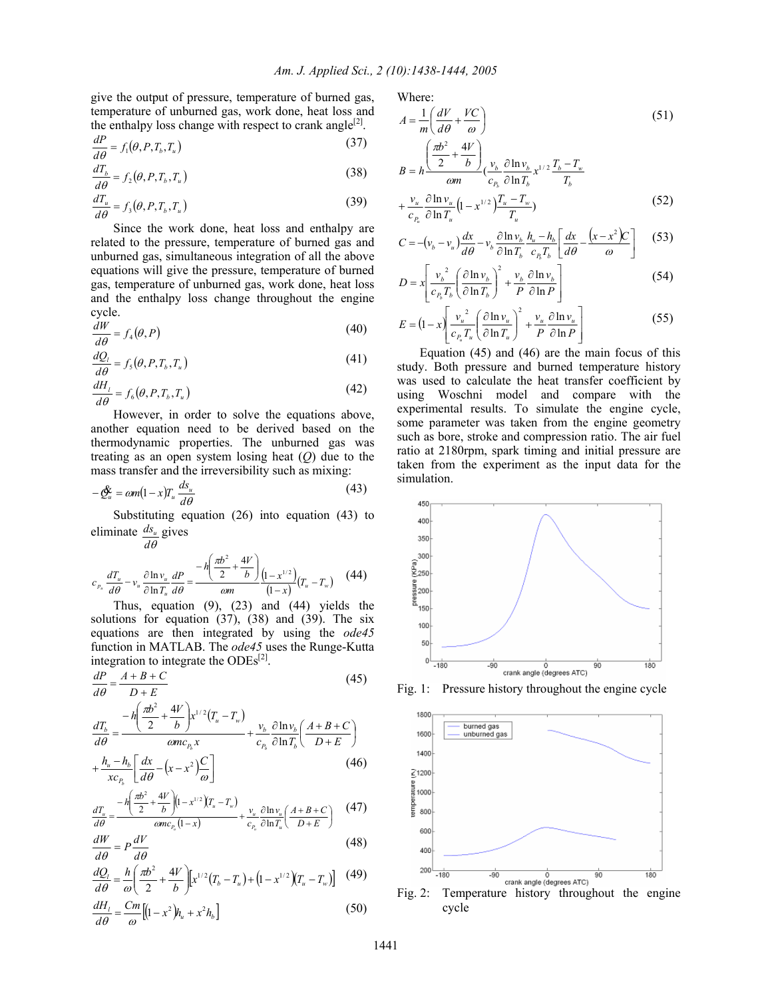give the output of pressure, temperature of burned gas, temperature of unburned gas, work done, heat loss and the enthalpy loss change with respect to crank angle<sup>[2]</sup>.

$$
\frac{dP}{d\theta} = f_1(\theta, P, T_b, T_u)
$$
\n(37)

$$
\frac{dT_b}{d\theta} = f_2(\theta, P, T_b, T_u)
$$
\n(38)

$$
\frac{dT_u}{d\theta} = f_3(\theta, P, T_b, T_u)
$$
\n(39)

 Since the work done, heat loss and enthalpy are related to the pressure, temperature of burned gas and unburned gas, simultaneous integration of all the above equations will give the pressure, temperature of burned gas, temperature of unburned gas, work done, heat loss and the enthalpy loss change throughout the engine cycle.

$$
\frac{dW}{d\theta} = f_4(\theta, P) \tag{40}
$$

$$
\frac{dQ_l}{d\theta} = f_s(\theta, P, T_b, T_u)
$$
\n(41)

$$
\frac{dH_t}{d\theta} = f_{6}(\theta, P, T_b, T_u)
$$
\n(42)

 However, in order to solve the equations above, another equation need to be derived based on the thermodynamic properties. The unburned gas was treating as an open system losing heat (*Q*) due to the mass transfer and the irreversibility such as mixing:

$$
-\underline{\mathcal{O}}_u^{\mathbf{c}} = \omega m (1-x) T_u \frac{ds_u}{d\theta} \tag{43}
$$

 Substituting equation (26) into equation (43) to eliminate  $\frac{ds_u}{\text{gives}}$ 

$$
d\theta
$$
\n
$$
c_{p_u} \frac{dT_u}{d\theta} - v_u \frac{\partial \ln v_u}{\partial \ln T_u} \frac{dP}{d\theta} = \frac{-h \left(\frac{\pi b^2}{2} + \frac{4V}{b}\right)}{om} \left(\frac{1 - x^{1/2}}{1 - x}\right) \left(T_u - T_w\right) \tag{44}
$$

 Thus, equation (9), (23) and (44) yields the solutions for equation (37), (38) and (39). The six equations are then integrated by using the *ode45* function in MATLAB. The *ode45* uses the Runge-Kutta integration to integrate the  $ODEs^{[2]}$ .

$$
\frac{dP}{d\theta} = \frac{A + B + C}{D + E} \tag{45}
$$

$$
\frac{dT_b}{d\theta} = \frac{-h\left(\frac{\pi b^2}{2} + \frac{4V}{b}\right)x^{1/2}(T_u - T_w)}{\omega mc_{P_b} x} + \frac{v_b}{c_{P_b}} \frac{\partial \ln v_b}{\partial \ln T_b} \left(\frac{A + B + C}{D + E}\right)
$$

$$
+\frac{h_u - h_b}{xc_{p_b}} \left[ \frac{dx}{d\theta} - \left(x - x^2\right) \frac{C}{\omega} \right]
$$
\n(46)

$$
\frac{dT_u}{d\theta} = \frac{-h\left(\frac{\pi b^2}{2} + \frac{4V}{b}\right)\left(1 - x^{1/2}\right)\left(T_u - T_w\right)}{\omega mc_{P_u}\left(1 - x\right)} + \frac{v_u}{c_{P_u}}\frac{\partial \ln v_u}{\partial \ln T_u}\left(\frac{A + B + C}{D + E}\right) \tag{47}
$$

$$
\frac{dW}{d\theta} = P\frac{dV}{d\theta} \tag{48}
$$

$$
\frac{dQ_t}{d\theta} = \frac{h}{\omega} \left( \frac{\pi b^2}{2} + \frac{4V}{b} \right) \left[ x^{1/2} (T_b - T_u) + \left( 1 - x^{1/2} \right) (T_u - T_w) \right] \tag{49}
$$

$$
\frac{dH_t}{d\theta} = \frac{Cm}{\omega} \left[ \left( 1 - x^2 \right) h_u + x^2 h_b \right] \tag{50}
$$

Where:

$$
A = \frac{1}{m} \left( \frac{dV}{d\theta} + \frac{VC}{\omega} \right)
$$
(51)  

$$
B = h \frac{\left( \frac{\pi b^2}{2} + \frac{4V}{b} \right)}{\omega m} \left( \frac{v_b}{c_{P_b}} \frac{\partial \ln v_b}{\partial \ln T_b} x^{1/2} \frac{T_b - T_w}{T_b} + \frac{v_u}{m} \frac{\partial \ln v_u}{\partial \ln T_u} \left( 1 - x^{1/2} \right) \frac{T_u - T_w}{T_w} \right)
$$
(52)

$$
+\frac{v_u}{c_{P_u}}\frac{\partial \ln v_u}{\partial \ln T_u}\left(1-x^{1/2}\right)\frac{T_u-T_w}{T_u}
$$
\n(52)

$$
C = -(v_b - v_u) \frac{dx}{d\theta} - v_b \frac{\partial \ln v_b}{\partial \ln T_b} \frac{h_u - h_b}{c_B T_b} \left[ \frac{dx}{d\theta} - \frac{(x - x^2)C}{\omega} \right]
$$
(53)

$$
D = x \left[ \frac{v_b^2}{c_{P_b} T_b} \left( \frac{\partial \ln v_b}{\partial \ln T_b} \right)^2 + \frac{v_b}{P} \frac{\partial \ln v_b}{\partial \ln P} \right]
$$
(54)

$$
E = (1 - x) \left[ \frac{v_u^2}{c_{p_u} T_u} \left( \frac{\partial \ln v_u}{\partial \ln T_u} \right)^2 + \frac{v_u}{P} \frac{\partial \ln v_u}{\partial \ln P} \right]
$$
(55)

 Equation (45) and (46) are the main focus of this study. Both pressure and burned temperature history was used to calculate the heat transfer coefficient by using Woschni model and compare with the experimental results. To simulate the engine cycle, some parameter was taken from the engine geometry such as bore, stroke and compression ratio. The air fuel ratio at 2180rpm, spark timing and initial pressure are taken from the experiment as the input data for the simulation.



Fig. 1: Pressure history throughout the engine cycle



cycle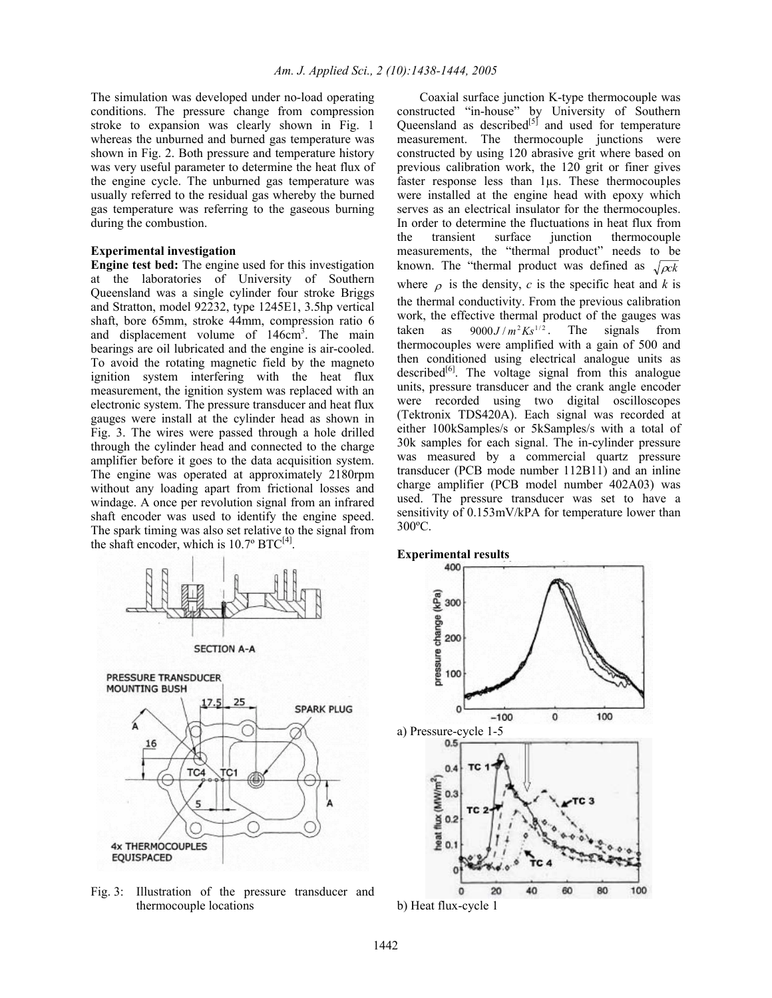The simulation was developed under no-load operating conditions. The pressure change from compression stroke to expansion was clearly shown in Fig. 1 whereas the unburned and burned gas temperature was shown in Fig. 2. Both pressure and temperature history was very useful parameter to determine the heat flux of the engine cycle. The unburned gas temperature was usually referred to the residual gas whereby the burned gas temperature was referring to the gaseous burning during the combustion.

# **Experimental investigation**

**Engine test bed:** The engine used for this investigation at the laboratories of University of Southern Queensland was a single cylinder four stroke Briggs and Stratton, model 92232, type 1245E1, 3.5hp vertical shaft, bore 65mm, stroke 44mm, compression ratio 6 and displacement volume of 146cm<sup>3</sup>. The main bearings are oil lubricated and the engine is air-cooled. To avoid the rotating magnetic field by the magneto ignition system interfering with the heat flux measurement, the ignition system was replaced with an electronic system. The pressure transducer and heat flux gauges were install at the cylinder head as shown in Fig. 3. The wires were passed through a hole drilled through the cylinder head and connected to the charge amplifier before it goes to the data acquisition system. The engine was operated at approximately 2180rpm without any loading apart from frictional losses and windage. A once per revolution signal from an infrared shaft encoder was used to identify the engine speed. The spark timing was also set relative to the signal from the shaft encoder, which is  $10.7^{\circ}$  BTC<sup>[4]</sup>.







Fig. 3: Illustration of the pressure transducer and thermocouple locations

 Coaxial surface junction K-type thermocouple was constructed "in-house" by University of Southern Queensland as described $[5]$  and used for temperature measurement. The thermocouple junctions were constructed by using 120 abrasive grit where based on previous calibration work, the 120 grit or finer gives faster response less than 1µs. These thermocouples were installed at the engine head with epoxy which serves as an electrical insulator for the thermocouples. In order to determine the fluctuations in heat flux from the transient surface junction thermocouple measurements, the "thermal product" needs to be known. The "thermal product was defined as  $\sqrt{\alpha k}$ where  $\rho$  is the density, *c* is the specific heat and *k* is the thermal conductivity. From the previous calibration work, the effective thermal product of the gauges was taken as  $9000J/m^2Ks^{1/2}$ . The signals from thermocouples were amplified with a gain of 500 and then conditioned using electrical analogue units as described $[6]$ . The voltage signal from this analogue units, pressure transducer and the crank angle encoder were recorded using two digital oscilloscopes (Tektronix TDS420A). Each signal was recorded at either 100kSamples/s or 5kSamples/s with a total of 30k samples for each signal. The in-cylinder pressure was measured by a commercial quartz pressure transducer (PCB mode number 112B11) and an inline charge amplifier (PCB model number 402A03) was used. The pressure transducer was set to have a sensitivity of 0.153mV/kPA for temperature lower than 300ºC.



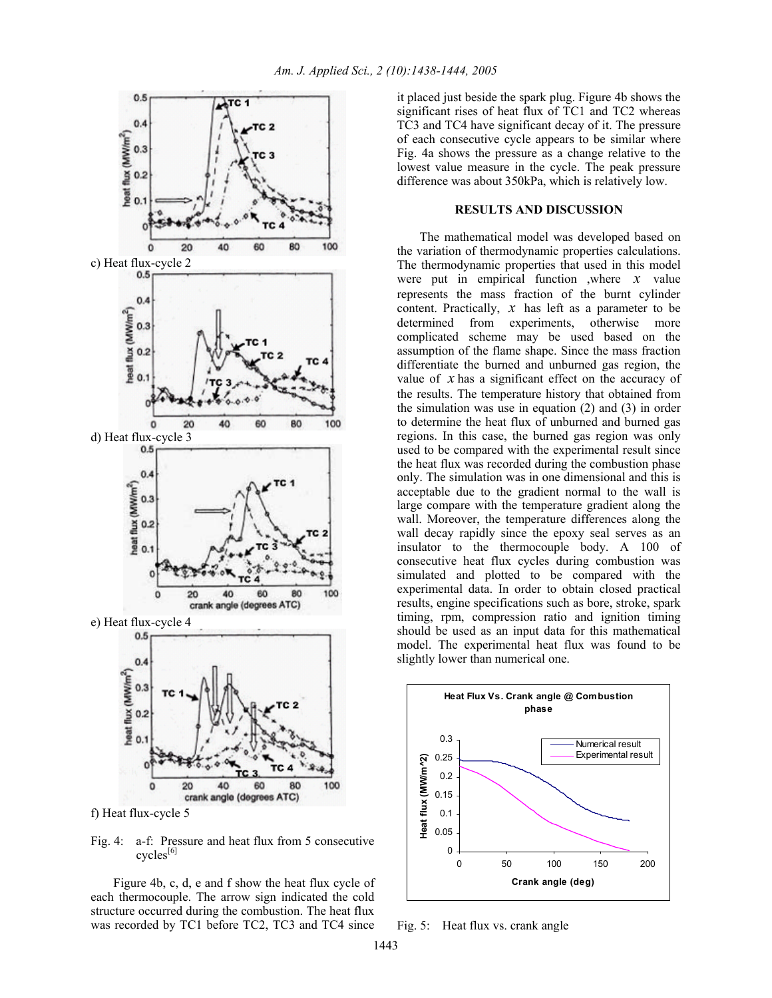

f) Heat flux-cycle 5

Fig. 4: a-f: Pressure and heat flux from 5 consecutive  $cycles^{[6]}$ 

 Figure 4b, c, d, e and f show the heat flux cycle of each thermocouple. The arrow sign indicated the cold structure occurred during the combustion. The heat flux was recorded by TC1 before TC2, TC3 and TC4 since

it placed just beside the spark plug. Figure 4b shows the significant rises of heat flux of TC1 and TC2 whereas TC3 and TC4 have significant decay of it. The pressure of each consecutive cycle appears to be similar where Fig. 4a shows the pressure as a change relative to the lowest value measure in the cycle. The peak pressure difference was about 350kPa, which is relatively low.

# **RESULTS AND DISCUSSION**

 The mathematical model was developed based on the variation of thermodynamic properties calculations. The thermodynamic properties that used in this model were put in empirical function ,where *x* value represents the mass fraction of the burnt cylinder content. Practically, *x* has left as a parameter to be determined from experiments, otherwise more complicated scheme may be used based on the assumption of the flame shape. Since the mass fraction differentiate the burned and unburned gas region, the value of *x* has a significant effect on the accuracy of the results. The temperature history that obtained from the simulation was use in equation (2) and (3) in order to determine the heat flux of unburned and burned gas regions. In this case, the burned gas region was only used to be compared with the experimental result since the heat flux was recorded during the combustion phase only. The simulation was in one dimensional and this is acceptable due to the gradient normal to the wall is large compare with the temperature gradient along the wall. Moreover, the temperature differences along the wall decay rapidly since the epoxy seal serves as an insulator to the thermocouple body. A 100 of consecutive heat flux cycles during combustion was simulated and plotted to be compared with the experimental data. In order to obtain closed practical results, engine specifications such as bore, stroke, spark timing, rpm, compression ratio and ignition timing should be used as an input data for this mathematical model. The experimental heat flux was found to be slightly lower than numerical one.



Fig. 5: Heat flux vs. crank angle